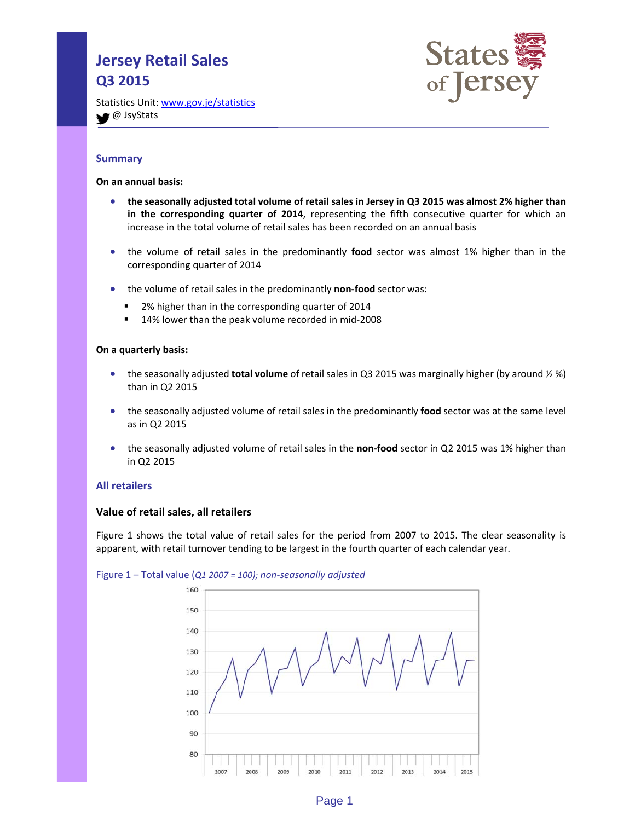# **Jersey Retail Sales Q3 2015**



Statistics Unit: www.gov.je/statistics **●** JsyStats

# **Summary**

**On an annual basis:**

- the seasonally adjusted total volume of retail sales in Jersey in Q3 2015 was almost 2% higher than **in the corresponding quarter of 2014**, representing the fifth consecutive quarter for which an increase in the total volume of retail sales has been recorded on an annual basis
- the volume of retail sales in the predominantly **food** sector was almost 1% higher than in the corresponding quarter of 2014
- the volume of retail sales in the predominantly non-food sector was:
	- 2% higher than in the corresponding quarter of 2014
	- 14% lower than the peak volume recorded in mid-2008

## **On a quarterly basis:**

- the seasonally adjusted **total volume** of retail sales in Q3 2015 was marginally higher (by around ½ %) than in Q2 2015
- the seasonally adjusted volume of retail sales in the predominantly **food** sector was at the same level as in Q2 2015
- the seasonally adjusted volume of retail sales in the **non‐food** sector in Q2 2015 was 1% higher than in Q2 2015

## **All retailers**

## **Value of retail sales, all retailers**

Figure 1 shows the total value of retail sales for the period from 2007 to 2015. The clear seasonality is apparent, with retail turnover tending to be largest in the fourth quarter of each calendar year.



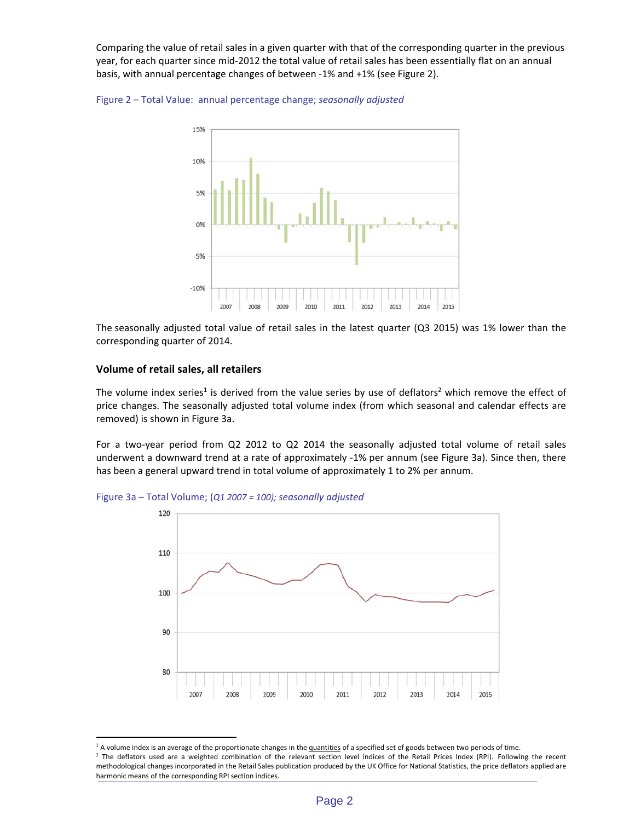Comparing the value of retail sales in a given quarter with that of the corresponding quarter in the previous year, for each quarter since mid‐2012 the total value of retail sales has been essentially flat on an annual basis, with annual percentage changes of between ‐1% and +1% (see Figure 2).





The seasonally adjusted total value of retail sales in the latest quarter (Q3 2015) was 1% lower than the corresponding quarter of 2014.

## **Volume of retail sales, all retailers**

 $\overline{a}$ 

The volume index series<sup>1</sup> is derived from the value series by use of deflators<sup>2</sup> which remove the effect of price changes. The seasonally adjusted total volume index (from which seasonal and calendar effects are removed) is shown in Figure 3a.

For a two-year period from Q2 2012 to Q2 2014 the seasonally adjusted total volume of retail sales underwent a downward trend at a rate of approximately ‐1% per annum (see Figure 3a). Since then, there has been a general upward trend in total volume of approximately 1 to 2% per annum.





<sup>&</sup>lt;sup>1</sup> A volume index is an average of the proportionate changes in the quantities of a specified set of goods between two periods of time.

<sup>&</sup>lt;sup>2</sup> The deflators used are a weighted combination of the relevant section level indices of the Retail Prices Index (RPI). Following the recent methodological changes incorporated in the Retail Sales publication produced by the UK Office for National Statistics, the price deflators applied are harmonic means of the corresponding RPI section indices.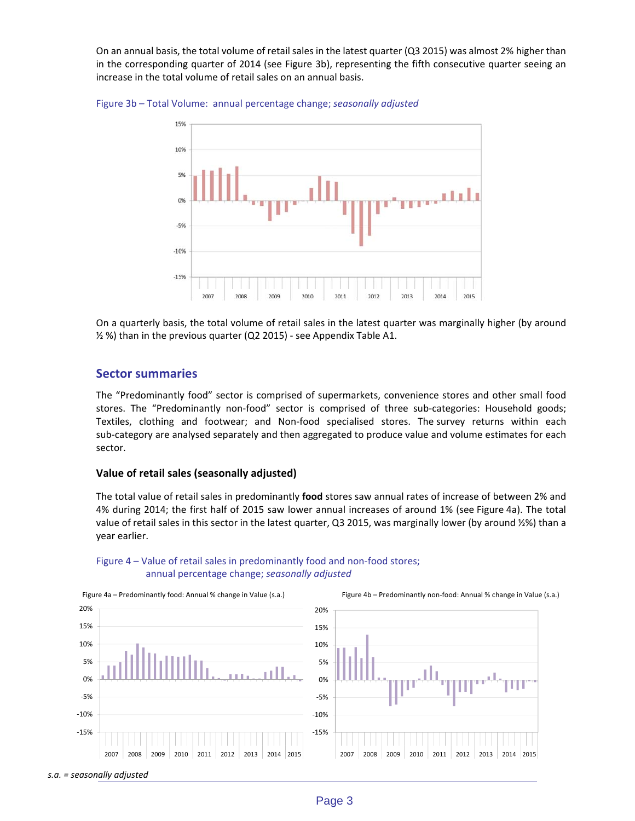On an annual basis, the total volume of retailsales in the latest quarter (Q3 2015) was almost 2% higher than in the corresponding quarter of 2014 (see Figure 3b), representing the fifth consecutive quarter seeing an increase in the total volume of retail sales on an annual basis.





On a quarterly basis, the total volume of retail sales in the latest quarter was marginally higher (by around ½ %) than in the previous quarter (Q2 2015) ‐ see Appendix Table A1.

## **Sector summaries**

The "Predominantly food" sector is comprised of supermarkets, convenience stores and other small food stores. The "Predominantly non-food" sector is comprised of three sub-categories: Household goods; Textiles, clothing and footwear; and Non‐food specialised stores. The survey returns within each sub‐category are analysed separately and then aggregated to produce value and volume estimates for each sector.

#### **Value of retail sales (seasonally adjusted)**

The total value of retail sales in predominantly **food** stores saw annual rates of increase of between 2% and 4% during 2014; the first half of 2015 saw lower annual increases of around 1% (see Figure 4a). The total value of retail sales in this sector in the latest quarter, Q3 2015, was marginally lower (by around ½%) than a year earlier.



## Figure 4 – Value of retail sales in predominantly food and non-food stores; annual percentage change; *seasonally adjusted*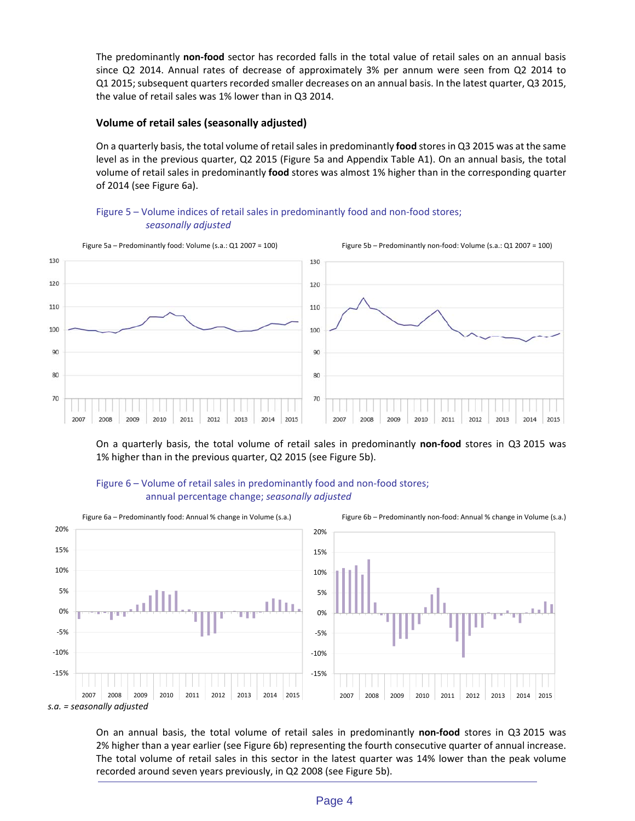The predominantly **non‐food** sector has recorded falls in the total value of retail sales on an annual basis since Q2 2014. Annual rates of decrease of approximately 3% per annum were seen from Q2 2014 to Q1 2015; subsequent quarters recorded smaller decreases on an annual basis. In the latest quarter, Q3 2015, the value of retail sales was 1% lower than in Q3 2014.

# **Volume of retail sales (seasonally adjusted)**

On a quarterly basis, the total volume of retail sales in predominantly food stores in Q3 2015 was at the same level as in the previous quarter, Q2 2015 (Figure 5a and Appendix Table A1). On an annual basis, the total volume of retail sales in predominantly **food** stores was almost 1% higher than in the corresponding quarter of 2014 (see Figure 6a).





On a quarterly basis, the total volume of retail sales in predominantly **non‐food** stores in Q3 2015 was 1% higher than in the previous quarter, Q2 2015 (see Figure 5b).





On an annual basis, the total volume of retail sales in predominantly **non‐food** stores in Q3 2015 was 2% higher than a year earlier (see Figure 6b) representing the fourth consecutive quarter of annual increase. The total volume of retail sales in this sector in the latest quarter was 14% lower than the peak volume recorded around seven years previously, in Q2 2008 (see Figure 5b).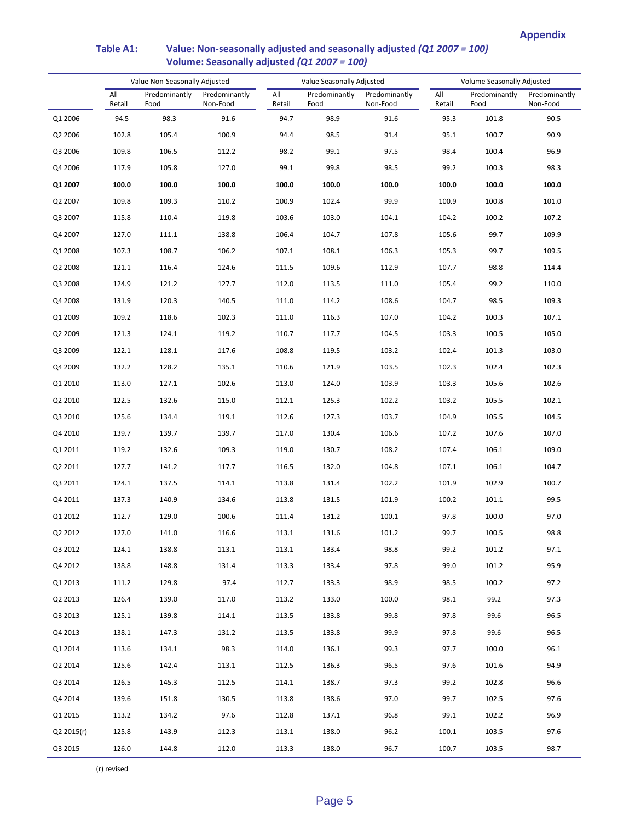#### Value Non‐Seasonally Adjusted Value Seasonally Adjusted Volume Seasonally Adjusted All Retail Predominantly Food Predominantly Non‐Food All Retail Predominantly Food Predominantly Non‐Food All Retail Predominantly Food Predominantly Non‐Food Q1 2006 94.5 98.3 91.6 94.7 98.9 91.6 95.3 101.8 90.5 Q2 2006 102.8 105.4 100.9 94.4 98.5 91.4 95.1 100.7 90.9 Q3 2006 109.8 106.5 112.2 98.2 99.1 97.5 98.4 100.4 96.9 Q4 2006 117.9 105.8 127.0 99.1 99.8 98.5 99.2 100.3 98.3 **Q1 2007 100.0 100.0 100.0 100.0 100.0 100.0 100.0 100.0 100.0** Q2 2007 109.8 109.3 110.2 100.9 102.4 99.9 100.9 100.8 101.0 Q3 2007 115.8 110.4 119.8 103.6 103.0 104.1 104.2 100.2 107.2 Q4 2007 127.0 111.1 138.8 106.4 104.7 107.8 105.6 99.7 109.9 Q1 2008 107.3 108.7 106.2 107.1 108.1 106.3 105.3 99.7 109.5 Q2 2008 121.1 116.4 124.6 111.5 109.6 112.9 107.7 98.8 114.4 Q3 2008 124.9 121.2 127.7 112.0 113.5 111.0 105.4 99.2 110.0 Q4 2008 131.9 120.3 140.5 111.0 114.2 108.6 104.7 98.5 109.3 Q1 2009 109.2 118.6 102.3 111.0 116.3 107.0 104.2 100.3 107.1 Q2 2009 121.3 124.1 119.2 110.7 117.7 104.5 103.3 100.5 105.0 Q3 2009 122.1 128.1 117.6 108.8 119.5 103.2 102.4 101.3 103.0 Q4 2009 132.2 128.2 135.1 110.6 121.9 103.5 102.3 102.4 102.3 Q1 2010 113.0 127.1 102.6 113.0 124.0 103.9 103.3 105.6 102.6 Q2 2010 122.5 132.6 115.0 112.1 125.3 102.2 103.2 105.5 102.1 Q3 2010 125.6 134.4 119.1 112.6 127.3 103.7 104.9 105.5 104.5 Q4 2010 139.7 139.7 139.7 117.0 130.4 106.6 107.2 107.6 107.0 Q1 2011 119.2 132.6 109.3 119.0 130.7 108.2 107.4 106.1 109.0 Q2 2011 127.7 141.2 117.7 116.5 132.0 104.8 107.1 106.1 104.7 Q3 2011 124.1 137.5 114.1 113.8 131.4 102.2 101.9 102.9 100.7 Q4 2011 137.3 140.9 134.6 113.8 131.5 101.9 100.2 101.1 99.5 Q1 2012 112.7 129.0 100.6 111.4 131.2 100.1 97.8 100.0 97.0 Q2 2012 127.0 141.0 116.6 113.1 131.6 101.2 99.7 100.5 98.8 Q3 2012 124.1 138.8 113.1 113.1 133.4 98.8 99.2 101.2 97.1 Q4 2012 138.8 148.8 131.4 113.3 133.4 97.8 99.0 101.2 95.9 Q1 2013 111.2 129.8 97.4 112.7 133.3 98.9 98.5 100.2 97.2 Q2 2013 126.4 139.0 117.0 113.2 133.0 100.0 98.1 99.2 97.3 Q3 2013 125.1 139.8 114.1 113.5 133.8 99.8 97.8 99.6 96.5 Q4 2013 138.1 147.3 131.2 113.5 133.8 99.9 97.8 99.6 96.5 Q1 2014 113.6 134.1 98.3 114.0 136.1 99.3 97.7 100.0 96.1 Q2 2014 125.6 142.4 113.1 112.5 136.3 96.5 97.6 101.6 94.9 Q3 2014 126.5 145.3 112.5 114.1 138.7 97.3 99.2 102.8 96.6 Q4 2014 139.6 151.8 130.5 113.8 138.6 97.0 99.7 102.5 97.6 Q1 2015 113.2 134.2 97.6 112.8 137.1 96.8 99.1 102.2 96.9 Q2 2015(r) 125.8 143.9 112.3 113.1 138.0 96.2 100.1 103.5 97.6 Q3 2015 126.0 144.8 112.0 113.3 138.0 96.7 100.7 103.5 98.7

## **Table A1: Value: Non‐seasonally adjusted and seasonally adjusted** *(Q1 2007 = 100)*  **Volume: Seasonally adjusted** *(Q1 2007 = 100)*

(r) revised